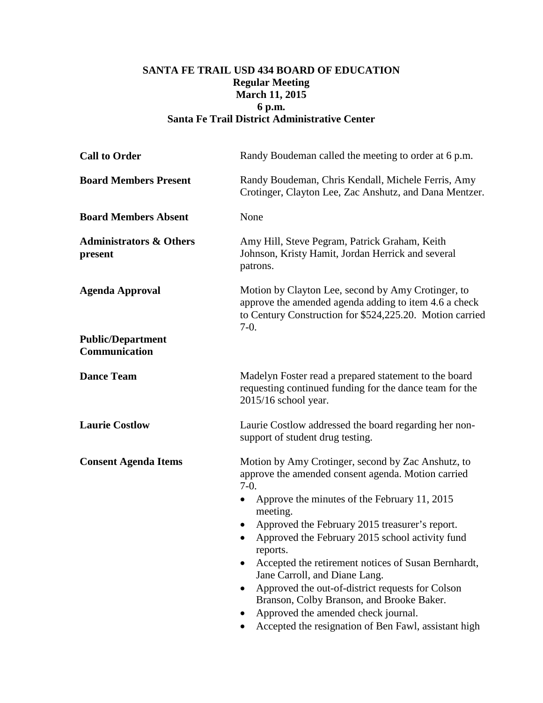## **SANTA FE TRAIL USD 434 BOARD OF EDUCATION Regular Meeting March 11, 2015 6 p.m. Santa Fe Trail District Administrative Center**

| Randy Boudeman called the meeting to order at 6 p.m.                                                                                                                                                                                                                                                                                                                                                                                                                                                                                                                                                 |
|------------------------------------------------------------------------------------------------------------------------------------------------------------------------------------------------------------------------------------------------------------------------------------------------------------------------------------------------------------------------------------------------------------------------------------------------------------------------------------------------------------------------------------------------------------------------------------------------------|
| Randy Boudeman, Chris Kendall, Michele Ferris, Amy<br>Crotinger, Clayton Lee, Zac Anshutz, and Dana Mentzer.                                                                                                                                                                                                                                                                                                                                                                                                                                                                                         |
| None                                                                                                                                                                                                                                                                                                                                                                                                                                                                                                                                                                                                 |
| Amy Hill, Steve Pegram, Patrick Graham, Keith<br>Johnson, Kristy Hamit, Jordan Herrick and several<br>patrons.                                                                                                                                                                                                                                                                                                                                                                                                                                                                                       |
| Motion by Clayton Lee, second by Amy Crotinger, to<br>approve the amended agenda adding to item 4.6 a check<br>to Century Construction for \$524,225.20. Motion carried<br>$7-0.$                                                                                                                                                                                                                                                                                                                                                                                                                    |
|                                                                                                                                                                                                                                                                                                                                                                                                                                                                                                                                                                                                      |
| Madelyn Foster read a prepared statement to the board<br>requesting continued funding for the dance team for the<br>$2015/16$ school year.                                                                                                                                                                                                                                                                                                                                                                                                                                                           |
| Laurie Costlow addressed the board regarding her non-<br>support of student drug testing.                                                                                                                                                                                                                                                                                                                                                                                                                                                                                                            |
| Motion by Amy Crotinger, second by Zac Anshutz, to<br>approve the amended consent agenda. Motion carried<br>$7-0.$<br>Approve the minutes of the February 11, 2015<br>meeting.<br>Approved the February 2015 treasurer's report.<br>Approved the February 2015 school activity fund<br>$\bullet$<br>reports.<br>Accepted the retirement notices of Susan Bernhardt,<br>Jane Carroll, and Diane Lang.<br>Approved the out-of-district requests for Colson<br>Branson, Colby Branson, and Brooke Baker.<br>Approved the amended check journal.<br>Accepted the resignation of Ben Fawl, assistant high |
|                                                                                                                                                                                                                                                                                                                                                                                                                                                                                                                                                                                                      |